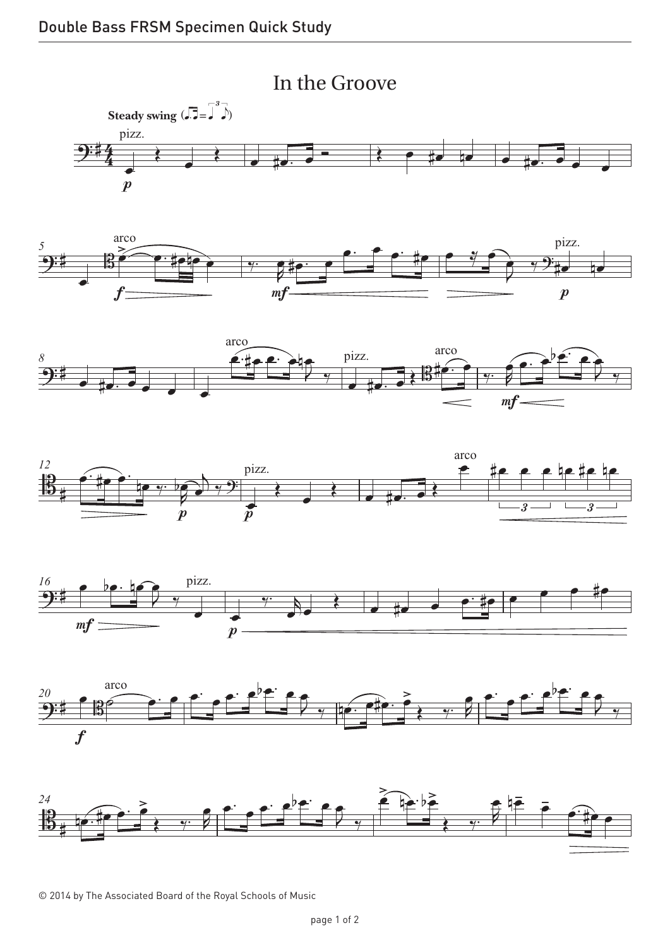







© 2014 by The Associated Board of the Royal Schools of Music